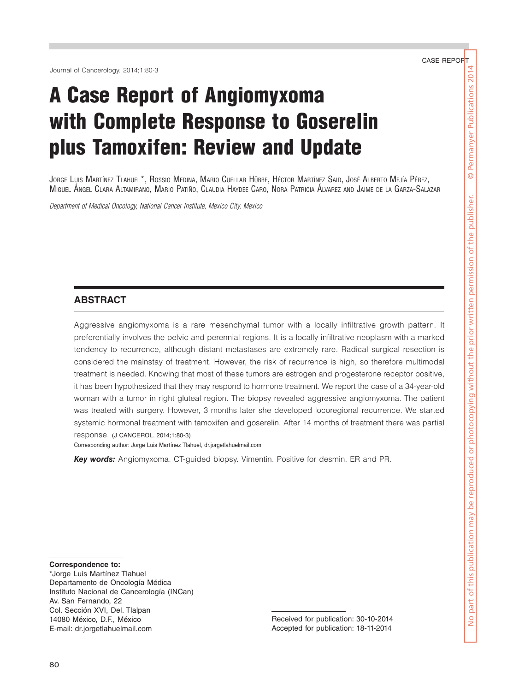Journal of Cancerology. 2014;1:80-3

# A Case Report of Angiomyxoma with Complete Response to Goserelin plus Tamoxifen: Review and Update

Jorge Luis Martínez Tlahuel\*, Rossio Medina, Mario Cuellar Hübbe, Héctor Martínez Said, José Alberto Mejía Pérez, Miguel Ángel Clara Altamirano, Mario Patiño, Claudia Haydee Caro, Nora Patricia Álvarez and Jaime de la Garza-Salazar

*Department of Medical Oncology, National Cancer Institute, Mexico City, Mexico*

## **ABSTRACT**

Aggressive angiomyxoma is a rare mesenchymal tumor with a locally infiltrative growth pattern. It preferentially involves the pelvic and perennial regions. It is a locally infiltrative neoplasm with a marked tendency to recurrence, although distant metastases are extremely rare. Radical surgical resection is considered the mainstay of treatment. However, the risk of recurrence is high, so therefore multimodal treatment is needed. Knowing that most of these tumors are estrogen and progesterone receptor positive, it has been hypothesized that they may respond to hormone treatment. We report the case of a 34-year-old woman with a tumor in right gluteal region. The biopsy revealed aggressive angiomyxoma. The patient was treated with surgery. However, 3 months later she developed locoregional recurrence. We started systemic hormonal treatment with tamoxifen and goserelin. After 14 months of treatment there was partial response. (J CANCEROL. 2014;1:80-3)

Corresponding author: Jorge Luis Martínez Tlahuel, dr.jorgetlahuelmail.com

*Key words:* Angiomyxoma. CT-guided biopsy. Vimentin. Positive for desmin. ER and PR.

**Correspondence to:**

\*Jorge Luis Martínez Tlahuel Departamento de Oncología Médica Instituto Nacional de Cancerología (INCan) Av. San Fernando, 22 Col. Sección XVI, Del. Tlalpan 14080 México, D.F., México E-mail: dr.jorgetlahuelmail.com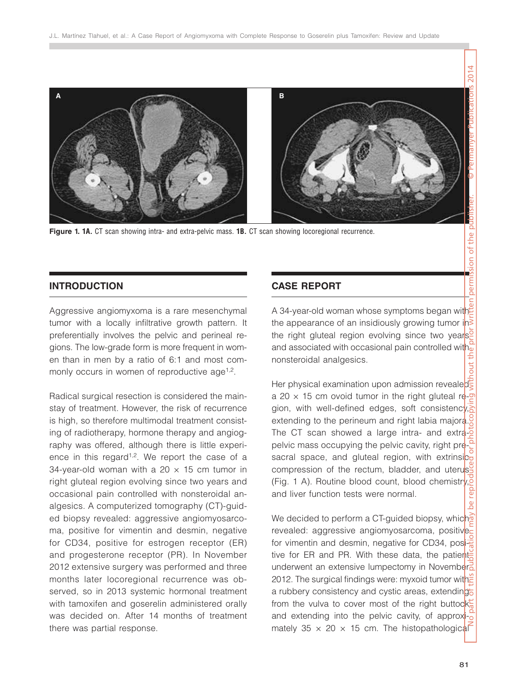

**Figure 1. 1A.** CT scan showing intra- and extra-pelvic mass. **1B.** CT scan showing locoregional recurrence.

# **INTRODUCTION**

Aggressive angiomyxoma is a rare mesenchymal tumor with a locally infiltrative growth pattern. It preferentially involves the pelvic and perineal regions. The low-grade form is more frequent in women than in men by a ratio of 6:1 and most commonly occurs in women of reproductive age<sup>1,2</sup>.

Radical surgical resection is considered the mainstay of treatment. However, the risk of recurrence is high, so therefore multimodal treatment consisting of radiotherapy, hormone therapy and angiography was offered, although there is little experience in this regard<sup> $1,2$ </sup>. We report the case of a 34-year-old woman with a 20  $\times$  15 cm tumor in right gluteal region evolving since two years and occasional pain controlled with nonsteroidal analgesics. A computerized tomography (CT)-guided biopsy revealed: aggressive angiomyosarcoma, positive for vimentin and desmin, negative for CD34, positive for estrogen receptor (ER) and progesterone receptor (PR). In November 2012 extensive surgery was performed and three months later locoregional recurrence was observed, so in 2013 systemic hormonal treatment with tamoxifen and goserelin administered orally was decided on. After 14 months of treatment there was partial response.

# **CASE REPORT**

A 34-year-old woman whose symptoms began with the appearance of an insidiously growing tumor in the right gluteal region evolving since two years and associated with occasional pain controlled with nonsteroidal analgesics.

Her physical examination upon admission revealed a 20  $\times$  15 cm ovoid tumor in the right gluteal region, with well-defined edges, soft consistency, extending to the perineum and right labia majora. The CT scan showed a large intra- and extrapelvic mass occupying the pelvic cavity, right presacral space, and gluteal region, with extrinsic compression of the rectum, bladder, and uterus (Fig. 1 A). Routine blood count, blood chemistry, and liver function tests were normal.

We decided to perform a CT-guided biopsy, which revealed: aggressive angiomyosarcoma, positive for vimentin and desmin, negative for CD34, positive for ER and PR. With these data, the patient underwent an extensive lumpectomy in November 2012. The surgical findings were: myxoid tumor with a rubbery consistency and cystic areas, extending from the vulva to cover most of the right buttock and extending into the pelvic cavity, of approximately  $35 \times 20 \times 15$  cm. The histopathological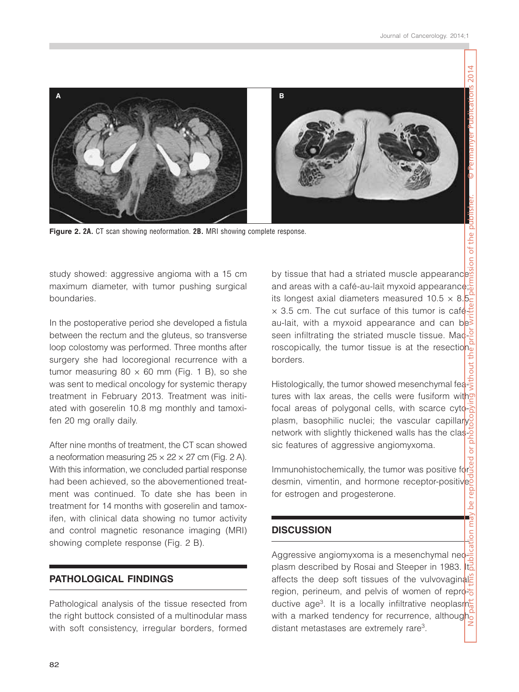

**Figure 2. 2A.** CT scan showing neoformation. **2B.** MRI showing complete response.

study showed: aggressive angioma with a 15 cm maximum diameter, with tumor pushing surgical boundaries.

In the postoperative period she developed a fistula between the rectum and the gluteus, so transverse loop colostomy was performed. Three months after surgery she had locoregional recurrence with a tumor measuring  $80 \times 60$  mm (Fig. 1 B), so she was sent to medical oncology for systemic therapy treatment in February 2013. Treatment was initiated with goserelin 10.8 mg monthly and tamoxifen 20 mg orally daily.

After nine months of treatment, the CT scan showed a neoformation measuring  $25 \times 22 \times 27$  cm (Fig. 2 A). With this information, we concluded partial response had been achieved, so the abovementioned treatment was continued. To date she has been in treatment for 14 months with goserelin and tamoxifen, with clinical data showing no tumor activity and control magnetic resonance imaging (MRI) showing complete response (Fig. 2 B).

# **PATHOLOGICAL FINDINGS**

Pathological analysis of the tissue resected from the right buttock consisted of a multinodular mass with soft consistency, irregular borders, formed by tissue that had a striated muscle appearance and areas with a café-au-lait myxoid appearance; its longest axial diameters measured  $10.5 \times 8.5$  $\times$  3.5 cm. The cut surface of this tumor is caféau-lait, with a myxoid appearance and can be seen infiltrating the striated muscle tissue. Macroscopically, the tumor tissue is at the resection borders.

Histologically, the tumor showed mesenchymal features with lax areas, the cells were fusiform with focal areas of polygonal cells, with scarce cytoplasm, basophilic nuclei; the vascular capillary network with slightly thickened walls has the classic features of aggressive angiomyxoma.

Immunohistochemically, the tumor was positive for desmin, vimentin, and hormone receptor-positive for estrogen and progesterone.

## **DISCUSSION**

Aggressive angiomyxoma is a mesenchymal neoplasm described by Rosai and Steeper in 1983. It affects the deep soft tissues of the vulvovaginal region, perineum, and pelvis of women of reproductive age3. It is a locally infiltrative neoplasm with a marked tendency for recurrence, although distant metastases are extremely rare3.